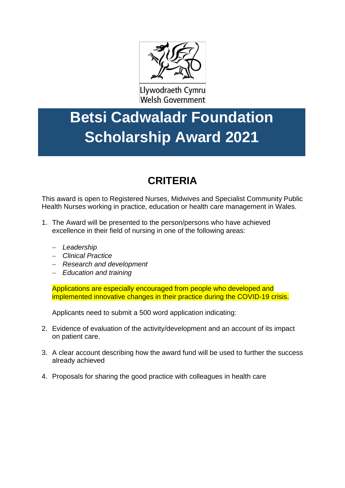

Llywodraeth Cymru Welsh Government

## **Betsi Cadwaladr Foundation Scholarship Award 2021**

## **CRITERIA**

This award is open to Registered Nurses, Midwives and Specialist Community Public Health Nurses working in practice, education or health care management in Wales.

- 1. The Award will be presented to the person/persons who have achieved excellence in their field of nursing in one of the following areas:
	- − *Leadership*
	- − *Clinical Practice*
	- − *Research and development*
	- − *Education and training*

Applications are especially encouraged from people who developed and implemented innovative changes in their practice during the COVID-19 crisis.

Applicants need to submit a 500 word application indicating:

- 2. Evidence of evaluation of the activity/development and an account of its impact on patient care.
- 3. A clear account describing how the award fund will be used to further the success already achieved
- 4. Proposals for sharing the good practice with colleagues in health care